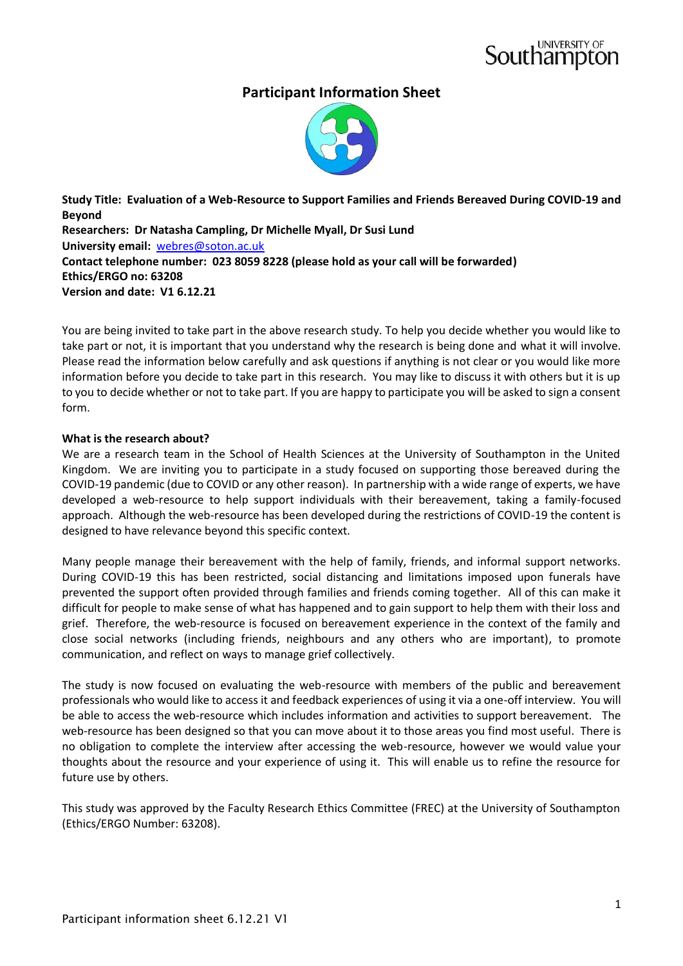# **Participant Information Sheet**



**Study Title: Evaluation of a Web-Resource to Support Families and Friends Bereaved During COVID-19 and Beyond Researchers: Dr Natasha Campling, Dr Michelle Myall, Dr Susi Lund University email:** [webres@soton.ac.uk](mailto:webres@soton.ac.uk) **Contact telephone number: 023 8059 8228 (please hold as your call will be forwarded) Ethics/ERGO no: 63208 Version and date: V1 6.12.21**

You are being invited to take part in the above research study. To help you decide whether you would like to take part or not, it is important that you understand why the research is being done and what it will involve. Please read the information below carefully and ask questions if anything is not clear or you would like more information before you decide to take part in this research. You may like to discuss it with others but it is up to you to decide whether or not to take part. If you are happy to participate you will be asked to sign a consent form.

# **What is the research about?**

We are a research team in the School of Health Sciences at the University of Southampton in the United Kingdom. We are inviting you to participate in a study focused on supporting those bereaved during the COVID-19 pandemic (due to COVID or any other reason). In partnership with a wide range of experts, we have developed a web-resource to help support individuals with their bereavement, taking a family-focused approach. Although the web-resource has been developed during the restrictions of COVID-19 the content is designed to have relevance beyond this specific context.

Many people manage their bereavement with the help of family, friends, and informal support networks. During COVID-19 this has been restricted, social distancing and limitations imposed upon funerals have prevented the support often provided through families and friends coming together. All of this can make it difficult for people to make sense of what has happened and to gain support to help them with their loss and grief. Therefore, the web-resource is focused on bereavement experience in the context of the family and close social networks (including friends, neighbours and any others who are important), to promote communication, and reflect on ways to manage grief collectively.

The study is now focused on evaluating the web-resource with members of the public and bereavement professionals who would like to access it and feedback experiences of using it via a one-off interview. You will be able to access the web-resource which includes information and activities to support bereavement. The web-resource has been designed so that you can move about it to those areas you find most useful. There is no obligation to complete the interview after accessing the web-resource, however we would value your thoughts about the resource and your experience of using it. This will enable us to refine the resource for future use by others.

This study was approved by the Faculty Research Ethics Committee (FREC) at the University of Southampton (Ethics/ERGO Number: 63208).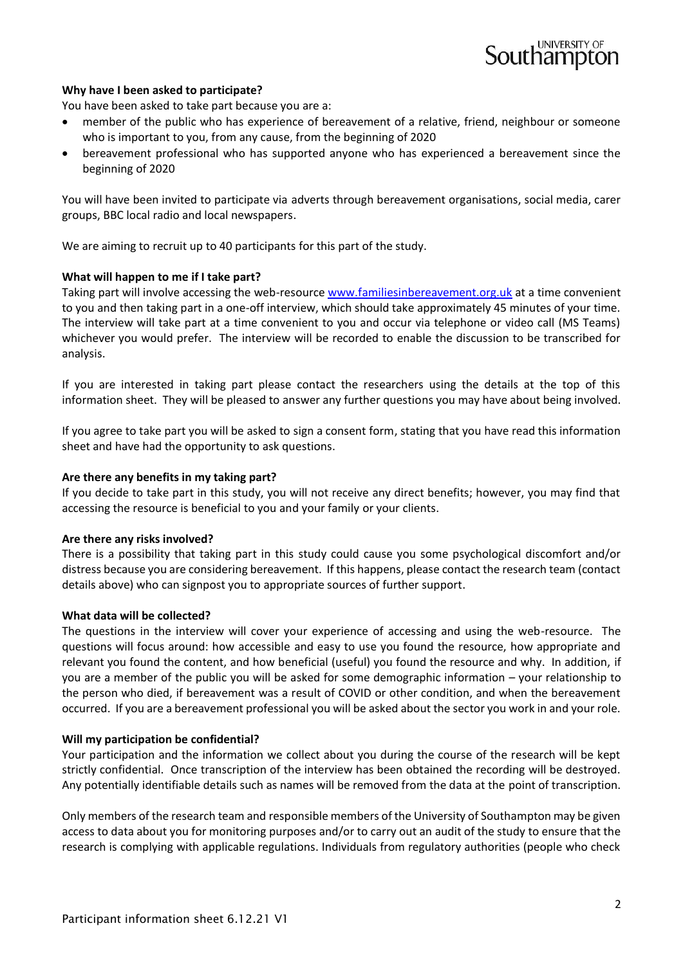# **Why have I been asked to participate?**

You have been asked to take part because you are a:

- member of the public who has experience of bereavement of a relative, friend, neighbour or someone who is important to you, from any cause, from the beginning of 2020
- bereavement professional who has supported anyone who has experienced a bereavement since the beginning of 2020

You will have been invited to participate via adverts through bereavement organisations, social media, carer groups, BBC local radio and local newspapers.

We are aiming to recruit up to 40 participants for this part of the study.

#### **What will happen to me if I take part?**

Taking part will involve accessing the web-resource [www.familiesinbereavement.org.uk](http://www.familiesinbereavement.org.uk/) at a time convenient to you and then taking part in a one-off interview, which should take approximately 45 minutes of your time. The interview will take part at a time convenient to you and occur via telephone or video call (MS Teams) whichever you would prefer. The interview will be recorded to enable the discussion to be transcribed for analysis.

If you are interested in taking part please contact the researchers using the details at the top of this information sheet. They will be pleased to answer any further questions you may have about being involved.

If you agree to take part you will be asked to sign a consent form, stating that you have read this information sheet and have had the opportunity to ask questions.

#### **Are there any benefits in my taking part?**

If you decide to take part in this study, you will not receive any direct benefits; however, you may find that accessing the resource is beneficial to you and your family or your clients.

#### **Are there any risks involved?**

There is a possibility that taking part in this study could cause you some psychological discomfort and/or distress because you are considering bereavement. If this happens, please contact the research team (contact details above) who can signpost you to appropriate sources of further support.

#### **What data will be collected?**

The questions in the interview will cover your experience of accessing and using the web-resource. The questions will focus around: how accessible and easy to use you found the resource, how appropriate and relevant you found the content, and how beneficial (useful) you found the resource and why. In addition, if you are a member of the public you will be asked for some demographic information – your relationship to the person who died, if bereavement was a result of COVID or other condition, and when the bereavement occurred. If you are a bereavement professional you will be asked about the sector you work in and your role.

## **Will my participation be confidential?**

Your participation and the information we collect about you during the course of the research will be kept strictly confidential. Once transcription of the interview has been obtained the recording will be destroyed. Any potentially identifiable details such as names will be removed from the data at the point of transcription.

Only members of the research team and responsible members of the University of Southampton may be given access to data about you for monitoring purposes and/or to carry out an audit of the study to ensure that the research is complying with applicable regulations. Individuals from regulatory authorities (people who check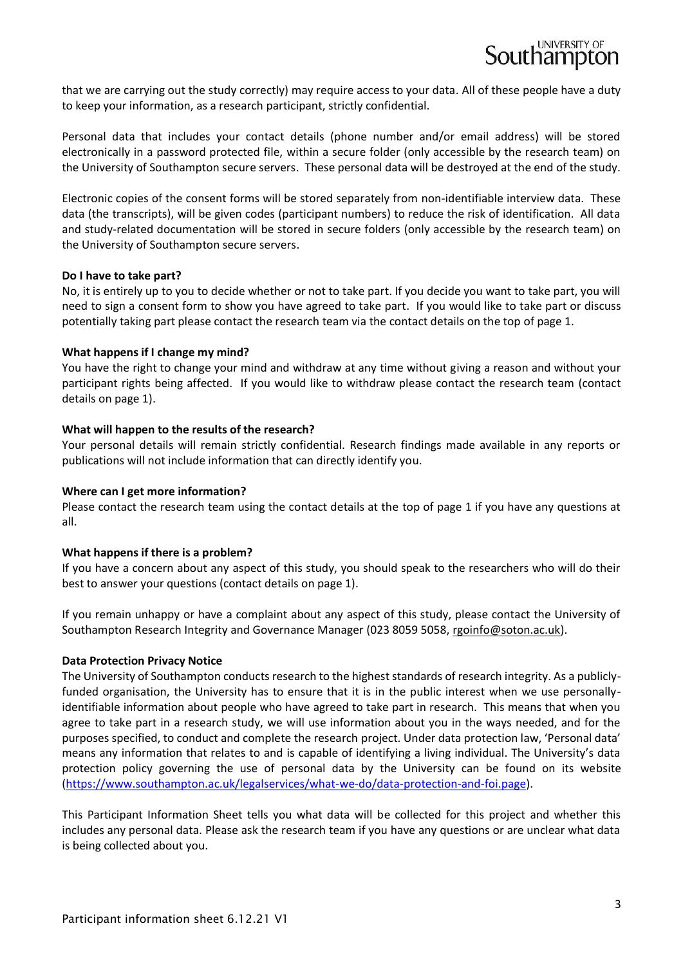that we are carrying out the study correctly) may require access to your data. All of these people have a duty to keep your information, as a research participant, strictly confidential.

Personal data that includes your contact details (phone number and/or email address) will be stored electronically in a password protected file, within a secure folder (only accessible by the research team) on the University of Southampton secure servers. These personal data will be destroyed at the end of the study.

Electronic copies of the consent forms will be stored separately from non-identifiable interview data. These data (the transcripts), will be given codes (participant numbers) to reduce the risk of identification. All data and study-related documentation will be stored in secure folders (only accessible by the research team) on the University of Southampton secure servers.

#### **Do I have to take part?**

No, it is entirely up to you to decide whether or not to take part. If you decide you want to take part, you will need to sign a consent form to show you have agreed to take part. If you would like to take part or discuss potentially taking part please contact the research team via the contact details on the top of page 1.

#### **What happens if I change my mind?**

You have the right to change your mind and withdraw at any time without giving a reason and without your participant rights being affected. If you would like to withdraw please contact the research team (contact details on page 1).

#### **What will happen to the results of the research?**

Your personal details will remain strictly confidential. Research findings made available in any reports or publications will not include information that can directly identify you.

#### **Where can I get more information?**

Please contact the research team using the contact details at the top of page 1 if you have any questions at all.

## **What happens if there is a problem?**

If you have a concern about any aspect of this study, you should speak to the researchers who will do their best to answer your questions (contact details on page 1).

If you remain unhappy or have a complaint about any aspect of this study, please contact the University of Southampton Research Integrity and Governance Manager (023 8059 5058, [rgoinfo@soton.ac.uk\)](mailto:rgoinfo@soton.ac.uk).

## **Data Protection Privacy Notice**

The University of Southampton conducts research to the highest standards of research integrity. As a publiclyfunded organisation, the University has to ensure that it is in the public interest when we use personallyidentifiable information about people who have agreed to take part in research. This means that when you agree to take part in a research study, we will use information about you in the ways needed, and for the purposes specified, to conduct and complete the research project. Under data protection law, 'Personal data' means any information that relates to and is capable of identifying a living individual. The University's data protection policy governing the use of personal data by the University can be found on its website [\(https://www.southampton.ac.uk/legalservices/what-we-do/data-protection-and-foi.page\)](https://www.southampton.ac.uk/legalservices/what-we-do/data-protection-and-foi.page).

This Participant Information Sheet tells you what data will be collected for this project and whether this includes any personal data. Please ask the research team if you have any questions or are unclear what data is being collected about you.